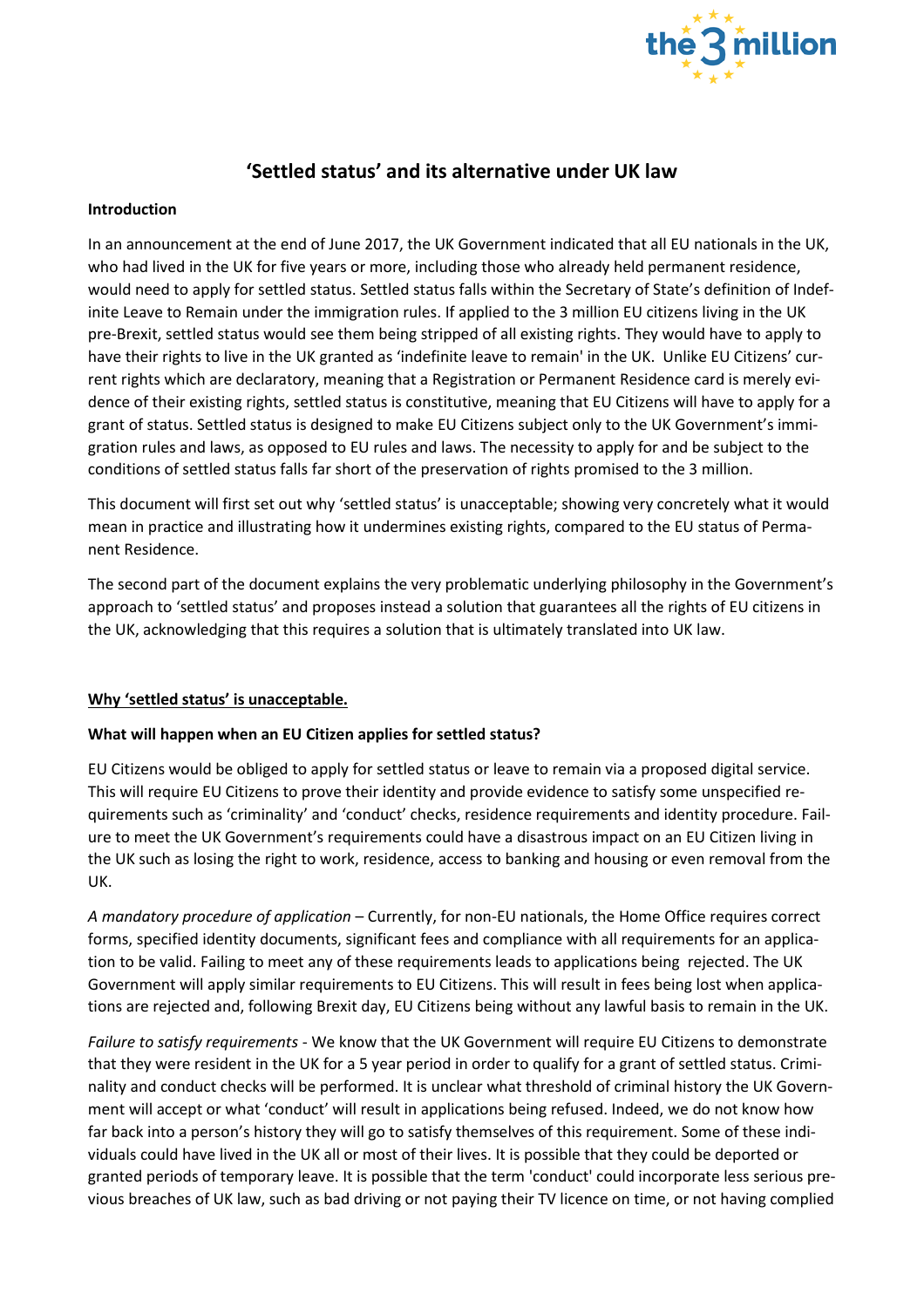

# **'Settled status' and its alternative under UK law**

### **Introduction**

In an announcement at the end of June 2017, the UK Government indicated that all EU nationals in the UK, who had lived in the UK for five years or more, including those who already held permanent residence, would need to apply for settled status. Settled status falls within the Secretary of State's definition of Indefinite Leave to Remain under the immigration rules. If applied to the 3 million EU citizens living in the UK pre-Brexit, settled status would see them being stripped of all existing rights. They would have to apply to have their rights to live in the UK granted as 'indefinite leave to remain' in the UK. Unlike EU Citizens' current rights which are declaratory, meaning that a Registration or Permanent Residence card is merely evidence of their existing rights, settled status is constitutive, meaning that EU Citizens will have to apply for a grant of status. Settled status is designed to make EU Citizens subject only to the UK Government's immigration rules and laws, as opposed to EU rules and laws. The necessity to apply for and be subject to the conditions of settled status falls far short of the preservation of rights promised to the 3 million.

This document will first set out why 'settled status' is unacceptable; showing very concretely what it would mean in practice and illustrating how it undermines existing rights, compared to the EU status of Permanent Residence.

The second part of the document explains the very problematic underlying philosophy in the Government's approach to 'settled status' and proposes instead a solution that guarantees all the rights of EU citizens in the UK, acknowledging that this requires a solution that is ultimately translated into UK law.

# **Why 'settled status' is unacceptable.**

# **What will happen when an EU Citizen applies for settled status?**

EU Citizens would be obliged to apply for settled status or leave to remain via a proposed digital service. This will require EU Citizens to prove their identity and provide evidence to satisfy some unspecified requirements such as 'criminality' and 'conduct' checks, residence requirements and identity procedure. Failure to meet the UK Government's requirements could have a disastrous impact on an EU Citizen living in the UK such as losing the right to work, residence, access to banking and housing or even removal from the UK.

*A mandatory procedure of application* – Currently, for non-EU nationals, the Home Office requires correct forms, specified identity documents, significant fees and compliance with all requirements for an application to be valid. Failing to meet any of these requirements leads to applications being rejected. The UK Government will apply similar requirements to EU Citizens. This will result in fees being lost when applications are rejected and, following Brexit day, EU Citizens being without any lawful basis to remain in the UK.

*Failure to satisfy requirements* - We know that the UK Government will require EU Citizens to demonstrate that they were resident in the UK for a 5 year period in order to qualify for a grant of settled status. Criminality and conduct checks will be performed. It is unclear what threshold of criminal history the UK Government will accept or what 'conduct' will result in applications being refused. Indeed, we do not know how far back into a person's history they will go to satisfy themselves of this requirement. Some of these individuals could have lived in the UK all or most of their lives. It is possible that they could be deported or granted periods of temporary leave. It is possible that the term 'conduct' could incorporate less serious previous breaches of UK law, such as bad driving or not paying their TV licence on time, or not having complied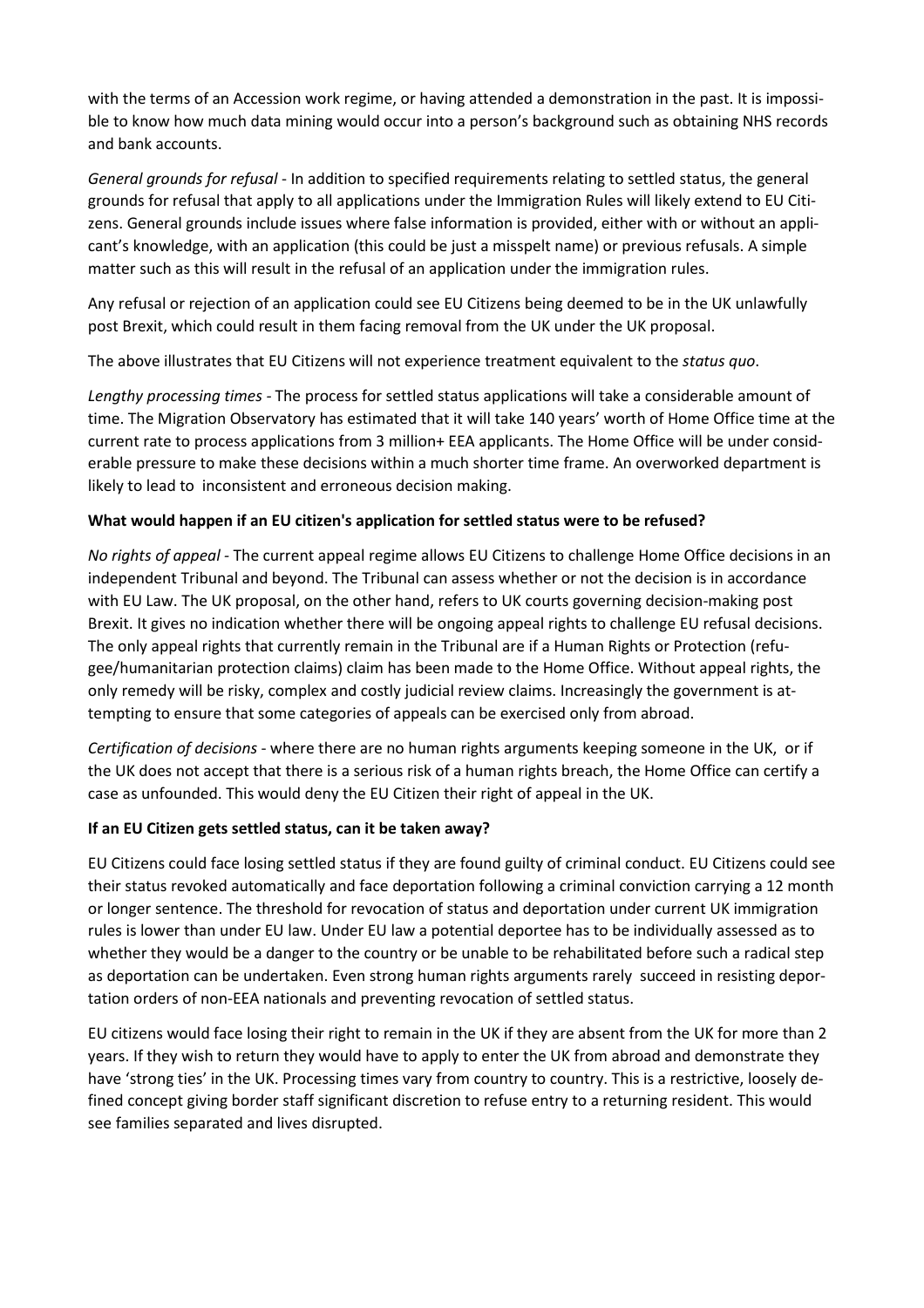with the terms of an Accession work regime, or having attended a demonstration in the past. It is impossible to know how much data mining would occur into a person's background such as obtaining NHS records and bank accounts.

*General grounds for refusal* - In addition to specified requirements relating to settled status, the general grounds for refusal that apply to all applications under the Immigration Rules will likely extend to EU Citizens. General grounds include issues where false information is provided, either with or without an applicant's knowledge, with an application (this could be just a misspelt name) or previous refusals. A simple matter such as this will result in the refusal of an application under the immigration rules.

Any refusal or rejection of an application could see EU Citizens being deemed to be in the UK unlawfully post Brexit, which could result in them facing removal from the UK under the UK proposal.

The above illustrates that EU Citizens will not experience treatment equivalent to the *status quo*.

*Lengthy processing times -* The process for settled status applications will take a considerable amount of time. The Migration Observatory has estimated that it will take 140 years' worth of Home Office time at the current rate to process applications from 3 million+ EEA applicants. The Home Office will be under considerable pressure to make these decisions within a much shorter time frame. An overworked department is likely to lead to inconsistent and erroneous decision making.

# **What would happen if an EU citizen's application for settled status were to be refused?**

*No rights of appeal -* The current appeal regime allows EU Citizens to challenge Home Office decisions in an independent Tribunal and beyond. The Tribunal can assess whether or not the decision is in accordance with EU Law. The UK proposal, on the other hand, refers to UK courts governing decision-making post Brexit. It gives no indication whether there will be ongoing appeal rights to challenge EU refusal decisions. The only appeal rights that currently remain in the Tribunal are if a Human Rights or Protection (refugee/humanitarian protection claims) claim has been made to the Home Office. Without appeal rights, the only remedy will be risky, complex and costly judicial review claims. Increasingly the government is attempting to ensure that some categories of appeals can be exercised only from abroad.

*Certification of decisions* - where there are no human rights arguments keeping someone in the UK, or if the UK does not accept that there is a serious risk of a human rights breach, the Home Office can certify a case as unfounded. This would deny the EU Citizen their right of appeal in the UK.

# **If an EU Citizen gets settled status, can it be taken away?**

EU Citizens could face losing settled status if they are found guilty of criminal conduct. EU Citizens could see their status revoked automatically and face deportation following a criminal conviction carrying a 12 month or longer sentence. The threshold for revocation of status and deportation under current UK immigration rules is lower than under EU law. Under EU law a potential deportee has to be individually assessed as to whether they would be a danger to the country or be unable to be rehabilitated before such a radical step as deportation can be undertaken. Even strong human rights arguments rarely succeed in resisting deportation orders of non-EEA nationals and preventing revocation of settled status.

EU citizens would face losing their right to remain in the UK if they are absent from the UK for more than 2 years. If they wish to return they would have to apply to enter the UK from abroad and demonstrate they have 'strong ties' in the UK. Processing times vary from country to country. This is a restrictive, loosely defined concept giving border staff significant discretion to refuse entry to a returning resident. This would see families separated and lives disrupted.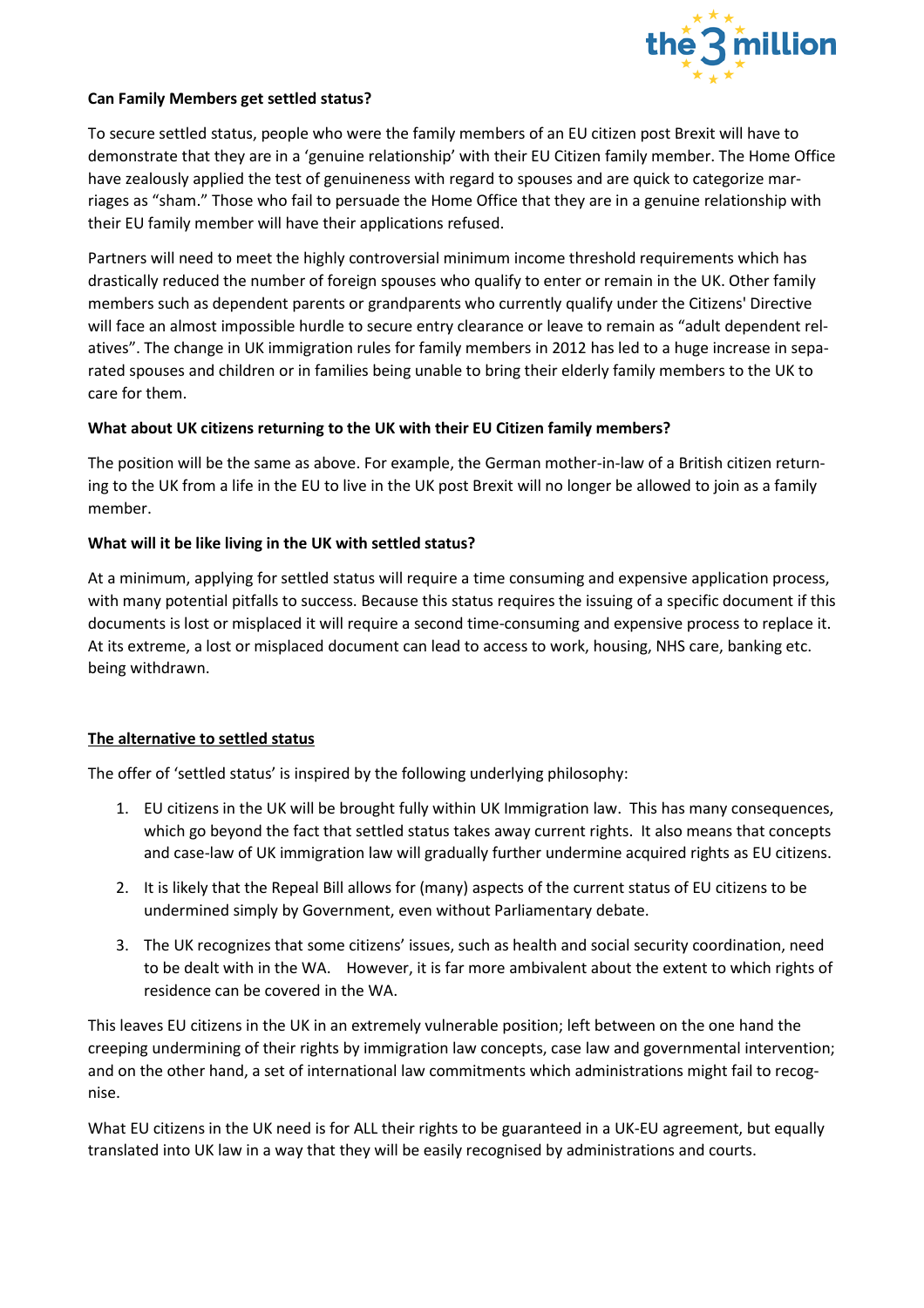

### **Can Family Members get settled status?**

To secure settled status, people who were the family members of an EU citizen post Brexit will have to demonstrate that they are in a 'genuine relationship' with their EU Citizen family member. The Home Office have zealously applied the test of genuineness with regard to spouses and are quick to categorize marriages as "sham." Those who fail to persuade the Home Office that they are in a genuine relationship with their EU family member will have their applications refused.

Partners will need to meet the highly controversial minimum income threshold requirements which has drastically reduced the number of foreign spouses who qualify to enter or remain in the UK. Other family members such as dependent parents or grandparents who currently qualify under the Citizens' Directive will face an almost impossible hurdle to secure entry clearance or leave to remain as "adult dependent relatives". The change in UK immigration rules for family members in 2012 has led to a huge increase in separated spouses and children or in families being unable to bring their elderly family members to the UK to care for them.

### **What about UK citizens returning to the UK with their EU Citizen family members?**

The position will be the same as above. For example, the German mother-in-law of a British citizen returning to the UK from a life in the EU to live in the UK post Brexit will no longer be allowed to join as a family member.

### **What will it be like living in the UK with settled status?**

At a minimum, applying for settled status will require a time consuming and expensive application process, with many potential pitfalls to success. Because this status requires the issuing of a specific document if this documents is lost or misplaced it will require a second time-consuming and expensive process to replace it. At its extreme, a lost or misplaced document can lead to access to work, housing, NHS care, banking etc. being withdrawn.

### **The alternative to settled status**

The offer of 'settled status' is inspired by the following underlying philosophy:

- 1. EU citizens in the UK will be brought fully within UK Immigration law. This has many consequences, which go beyond the fact that settled status takes away current rights. It also means that concepts and case-law of UK immigration law will gradually further undermine acquired rights as EU citizens.
- 2. It is likely that the Repeal Bill allows for (many) aspects of the current status of EU citizens to be undermined simply by Government, even without Parliamentary debate.
- 3. The UK recognizes that some citizens' issues, such as health and social security coordination, need to be dealt with in the WA. However, it is far more ambivalent about the extent to which rights of residence can be covered in the WA.

This leaves EU citizens in the UK in an extremely vulnerable position; left between on the one hand the creeping undermining of their rights by immigration law concepts, case law and governmental intervention; and on the other hand, a set of international law commitments which administrations might fail to recognise.

What EU citizens in the UK need is for ALL their rights to be guaranteed in a UK-EU agreement, but equally translated into UK law in a way that they will be easily recognised by administrations and courts.